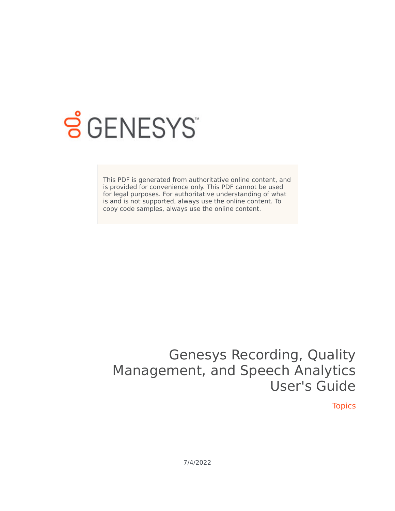

## **SGENESYS**

This PDF is generated from authoritative online content, and is provided for convenience only. This PDF cannot be used for legal purposes. For authoritative understanding of what is and is not supported, always use the online content. To copy code samples, always use the online content.

## Genesys Recording, Quality Management, and Speech Analytics User's Guide

**Topics** 

7/4/2022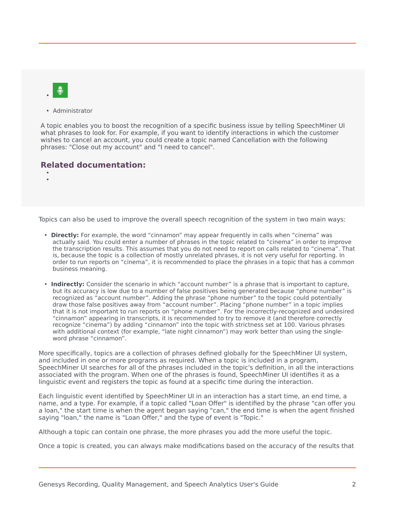

• Administrator

A topic enables you to boost the recognition of a specific business issue by telling SpeechMiner UI what phrases to look for. For example, if you want to identify interactions in which the customer wishes to cancel an account, you could create a topic named Cancellation with the following phrases: "Close out my account" and "I need to cancel".

## **Related documentation:**

• •

Topics can also be used to improve the overall speech recognition of the system in two main ways:

- **Directly:** For example, the word "cinnamon" may appear frequently in calls when "cinema" was actually said. You could enter a number of phrases in the topic related to "cinema" in order to improve the transcription results. This assumes that you do not need to report on calls related to "cinema". That is, because the topic is a collection of mostly unrelated phrases, it is not very useful for reporting. In order to run reports on "cinema", it is recommended to place the phrases in a topic that has a common business meaning.
- **Indirectly:** Consider the scenario in which "account number" is a phrase that is important to capture, but its accuracy is low due to a number of false positives being generated because "phone number" is recognized as "account number". Adding the phrase "phone number" to the topic could potentially draw those false positives away from "account number". Placing "phone number" in a topic implies that it is not important to run reports on "phone number". For the incorrectly-recognized and undesired "cinnamon" appearing in transcripts, it is recommended to try to remove it (and therefore correctly recognize "cinema") by adding "cinnamon" into the topic with strictness set at 100. Various phrases with additional context (for example, "late night cinnamon") may work better than using the singleword phrase "cinnamon".

More specifically, topics are a collection of phrases defined globally for the SpeechMiner UI system, and included in one or more programs as required. When a topic is included in a program, SpeechMiner UI searches for all of the phrases included in the topic's definition, in all the interactions associated with the program. When one of the phrases is found, SpeechMiner UI identifies it as a linguistic event and registers the topic as found at a specific time during the interaction.

Each linguistic event identified by SpeechMiner UI in an interaction has a start time, an end time, a name, and a type. For example, if a topic called "Loan Offer" is identified by the phrase "can offer you a loan," the start time is when the agent began saying "can," the end time is when the agent finished saying "loan," the name is "Loan Offer," and the type of event is "Topic."

Although a topic can contain one phrase, the more phrases you add the more useful the topic.

Once a topic is created, you can always make modifications based on the accuracy of the results that